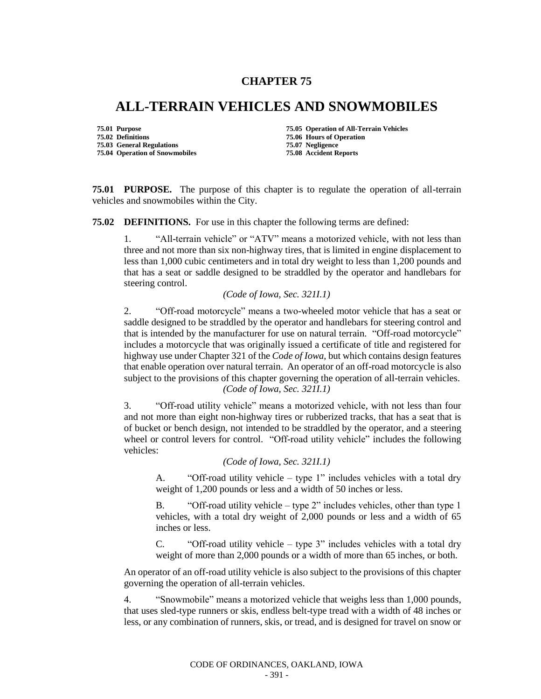## **CHAPTER 75**

## **ALL-TERRAIN VEHICLES AND SNOWMOBILES**

**75.02 Definitions 75.06 Hours of Operation 75.03 General Regulations 75.07 Negligence 75.04 Operation of Snowmobiles** 

**75.01 Purpose 75.05 Operation of All-Terrain Vehicles** 

**75.01 PURPOSE.** The purpose of this chapter is to regulate the operation of all-terrain vehicles and snowmobiles within the City.

**75.02 DEFINITIONS.** For use in this chapter the following terms are defined:

1. "All-terrain vehicle" or "ATV" means a motorized vehicle, with not less than three and not more than six non-highway tires, that is limited in engine displacement to less than 1,000 cubic centimeters and in total dry weight to less than 1,200 pounds and that has a seat or saddle designed to be straddled by the operator and handlebars for steering control.

## *(Code of Iowa, Sec. 321I.1)*

2. "Off-road motorcycle" means a two-wheeled motor vehicle that has a seat or saddle designed to be straddled by the operator and handlebars for steering control and that is intended by the manufacturer for use on natural terrain. "Off-road motorcycle" includes a motorcycle that was originally issued a certificate of title and registered for highway use under Chapter 321 of the *Code of Iowa*, but which contains design features that enable operation over natural terrain. An operator of an off-road motorcycle is also subject to the provisions of this chapter governing the operation of all-terrain vehicles. *(Code of Iowa, Sec. 321I.1)*

3. "Off-road utility vehicle" means a motorized vehicle, with not less than four and not more than eight non-highway tires or rubberized tracks, that has a seat that is of bucket or bench design, not intended to be straddled by the operator, and a steering wheel or control levers for control. "Off-road utility vehicle" includes the following vehicles:

*(Code of Iowa, Sec. 321I.1)*

A. "Off-road utility vehicle – type 1" includes vehicles with a total dry weight of 1,200 pounds or less and a width of 50 inches or less.

B. "Off-road utility vehicle – type 2" includes vehicles, other than type 1 vehicles, with a total dry weight of 2,000 pounds or less and a width of 65 inches or less.

C. "Off-road utility vehicle – type 3" includes vehicles with a total dry weight of more than 2,000 pounds or a width of more than 65 inches, or both.

An operator of an off-road utility vehicle is also subject to the provisions of this chapter governing the operation of all-terrain vehicles.

4. "Snowmobile" means a motorized vehicle that weighs less than 1,000 pounds, that uses sled-type runners or skis, endless belt-type tread with a width of 48 inches or less, or any combination of runners, skis, or tread, and is designed for travel on snow or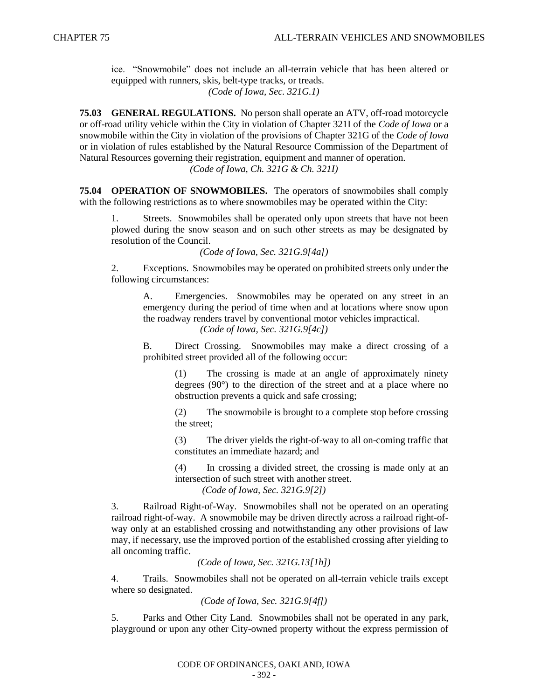ice. "Snowmobile" does not include an all-terrain vehicle that has been altered or equipped with runners, skis, belt-type tracks, or treads. *(Code of Iowa, Sec. 321G.1)*

**75.03 GENERAL REGULATIONS.** No person shall operate an ATV, off-road motorcycle or off-road utility vehicle within the City in violation of Chapter 321I of the *Code of Iowa* or a snowmobile within the City in violation of the provisions of Chapter 321G of the *Code of Iowa* or in violation of rules established by the Natural Resource Commission of the Department of Natural Resources governing their registration, equipment and manner of operation. *(Code of Iowa, Ch. 321G & Ch. 321I)*

**75.04 OPERATION OF SNOWMOBILES.** The operators of snowmobiles shall comply with the following restrictions as to where snowmobiles may be operated within the City:

Streets. Snowmobiles shall be operated only upon streets that have not been plowed during the snow season and on such other streets as may be designated by resolution of the Council.

*(Code of Iowa, Sec. 321G.9[4a])*

2. Exceptions. Snowmobiles may be operated on prohibited streets only under the following circumstances:

A. Emergencies. Snowmobiles may be operated on any street in an emergency during the period of time when and at locations where snow upon the roadway renders travel by conventional motor vehicles impractical. *(Code of Iowa, Sec. 321G.9[4c])*

B. Direct Crossing. Snowmobiles may make a direct crossing of a prohibited street provided all of the following occur:

> (1) The crossing is made at an angle of approximately ninety degrees (90°) to the direction of the street and at a place where no obstruction prevents a quick and safe crossing;

> (2) The snowmobile is brought to a complete stop before crossing the street;

> (3) The driver yields the right-of-way to all on-coming traffic that constitutes an immediate hazard; and

> (4) In crossing a divided street, the crossing is made only at an intersection of such street with another street.

*(Code of Iowa, Sec. 321G.9[2])*

3. Railroad Right-of-Way. Snowmobiles shall not be operated on an operating railroad right-of-way. A snowmobile may be driven directly across a railroad right-ofway only at an established crossing and notwithstanding any other provisions of law may, if necessary, use the improved portion of the established crossing after yielding to all oncoming traffic.

*(Code of Iowa, Sec. 321G.13[1h])*

4. Trails. Snowmobiles shall not be operated on all-terrain vehicle trails except where so designated.

```
(Code of Iowa, Sec. 321G.9[4f])
```
5. Parks and Other City Land. Snowmobiles shall not be operated in any park, playground or upon any other City-owned property without the express permission of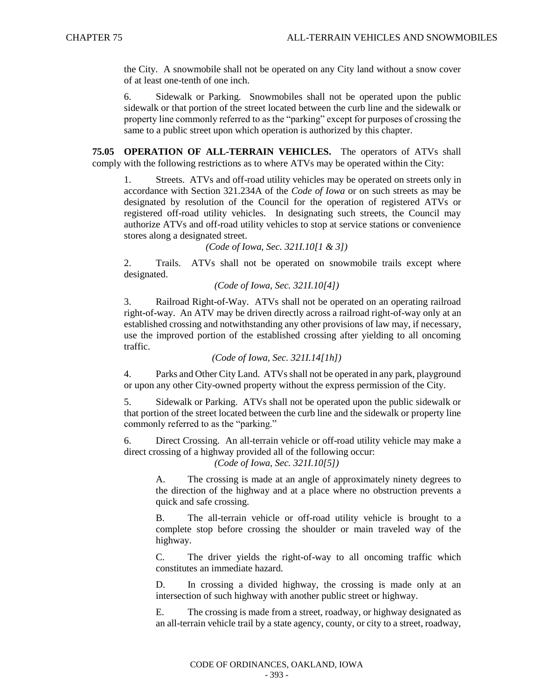the City. A snowmobile shall not be operated on any City land without a snow cover of at least one-tenth of one inch.

6. Sidewalk or Parking. Snowmobiles shall not be operated upon the public sidewalk or that portion of the street located between the curb line and the sidewalk or property line commonly referred to as the "parking" except for purposes of crossing the same to a public street upon which operation is authorized by this chapter.

**75.05 OPERATION OF ALL-TERRAIN VEHICLES.** The operators of ATVs shall comply with the following restrictions as to where ATVs may be operated within the City:

1. Streets. ATVs and off-road utility vehicles may be operated on streets only in accordance with Section 321.234A of the *Code of Iowa* or on such streets as may be designated by resolution of the Council for the operation of registered ATVs or registered off-road utility vehicles. In designating such streets, the Council may authorize ATVs and off-road utility vehicles to stop at service stations or convenience stores along a designated street.

*(Code of Iowa, Sec. 321I.10[1 & 3])*

2. Trails. ATVs shall not be operated on snowmobile trails except where designated.

*(Code of Iowa, Sec. 321I.10[4])*

3. Railroad Right-of-Way. ATVs shall not be operated on an operating railroad right-of-way. An ATV may be driven directly across a railroad right-of-way only at an established crossing and notwithstanding any other provisions of law may, if necessary, use the improved portion of the established crossing after yielding to all oncoming traffic.

*(Code of Iowa, Sec. 321I.14[1h])*

4. Parks and Other City Land. ATVs shall not be operated in any park, playground or upon any other City-owned property without the express permission of the City.

5. Sidewalk or Parking. ATVs shall not be operated upon the public sidewalk or that portion of the street located between the curb line and the sidewalk or property line commonly referred to as the "parking."

6. Direct Crossing. An all-terrain vehicle or off-road utility vehicle may make a direct crossing of a highway provided all of the following occur:

*(Code of Iowa, Sec. 321I.10[5])*

A. The crossing is made at an angle of approximately ninety degrees to the direction of the highway and at a place where no obstruction prevents a quick and safe crossing.

B. The all-terrain vehicle or off-road utility vehicle is brought to a complete stop before crossing the shoulder or main traveled way of the highway.

C. The driver yields the right-of-way to all oncoming traffic which constitutes an immediate hazard.

D. In crossing a divided highway, the crossing is made only at an intersection of such highway with another public street or highway.

E. The crossing is made from a street, roadway, or highway designated as an all-terrain vehicle trail by a state agency, county, or city to a street, roadway,